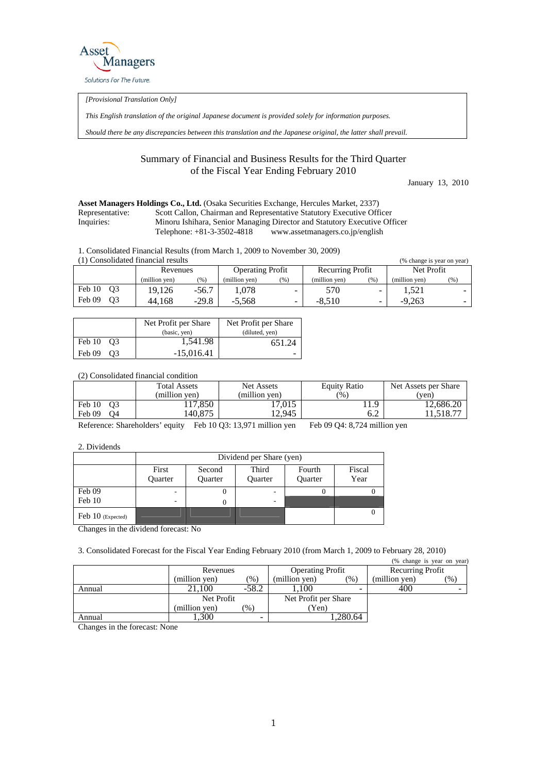

*[Provisional Translation Only]* 

*This English translation of the original Japanese document is provided solely for information purposes.* 

*Should there be any discrepancies between this translation and the Japanese original, the latter shall prevail.*

## Summary of Financial and Business Results for the Third Quarter of the Fiscal Year Ending February 2010

January 13, 2010

## **Asset Managers Holdings Co., Ltd.** (Osaka Securities Exchange, Hercules Market, 2337) Representative: Scott Callon, Chairman and Representative Statutory Executive Officer Inquiries: Minoru Ishihara, Senior Managing Director and Statutory Executive Officer Telephone: +81-3-3502-4818 www.assetmanagers.co.jp/english

1. Consolidated Financial Results (from March 1, 2009 to November 30, 2009)

| (1) Consolidated financial results<br>(% change is year on year) |               |         |                         |                          |                         |                          |               |                          |
|------------------------------------------------------------------|---------------|---------|-------------------------|--------------------------|-------------------------|--------------------------|---------------|--------------------------|
|                                                                  | Revenues      |         | <b>Operating Profit</b> |                          | <b>Recurring Profit</b> |                          | Net Profit    |                          |
|                                                                  | (million ven) | (96)    | (million ven)           | (%)                      | (million ven)           | (% )                     | (million ven) | $\frac{9}{6}$            |
| Feb 10 03                                                        | 19.126        | -56.7   | .078                    | $\overline{\phantom{a}}$ | 570                     | $\overline{\phantom{0}}$ | 1.521         | $\overline{\phantom{0}}$ |
| Feb 09<br>O <sub>3</sub>                                         | 44.168        | $-29.8$ | $-5.568$                | ۰.                       | $-8.510$                | $\overline{\phantom{a}}$ | $-9,263$      | $\overline{\phantom{0}}$ |

|              | Net Profit per Share | Net Profit per Share |  |  |
|--------------|----------------------|----------------------|--|--|
|              | (basic, yen)         | (diluted, yen)       |  |  |
| Feb 10 03    | 1,541.98             | 651.24               |  |  |
| Feb 09<br>O3 | $-15.016.41$         |                      |  |  |

(2) Consolidated financial condition

|                          | <b>Total Assets</b><br>(million ven) | Net Assets<br>(million ven) | Equity Ratio<br>$\frac{9}{6}$ | Net Assets per Share<br>(ven) |
|--------------------------|--------------------------------------|-----------------------------|-------------------------------|-------------------------------|
| Feb 10<br>O <sub>3</sub> | 17,850                               | 17.015                      | Q                             | 12.686.20                     |
| Feb 09<br>Ο4             | 140.875                              | 12.945                      | 6.2                           | .1,518.77                     |

Reference: Shareholders' equity Feb 10 Q3: 13,971 million yen Feb 09 Q4: 8,724 million yen

2. Dividends

|                     | Dividend per Share (yen)     |                   |                  |                   |                |  |  |
|---------------------|------------------------------|-------------------|------------------|-------------------|----------------|--|--|
|                     | First<br>Quarter             | Second<br>Quarter | Third<br>Quarter | Fourth<br>Quarter | Fiscal<br>Year |  |  |
| Feb 09              | $\qquad \qquad \blacksquare$ |                   |                  |                   |                |  |  |
| Feb 10              | -                            | 0                 |                  |                   |                |  |  |
| Feb $10$ (Expected) |                              |                   |                  |                   |                |  |  |

Changes in the dividend forecast: No

3. Consolidated Forecast for the Fiscal Year Ending February 2010 (from March 1, 2009 to February 28, 2010)

|        |               |               |                         |                          |                  | (% change is year on year)              |
|--------|---------------|---------------|-------------------------|--------------------------|------------------|-----------------------------------------|
|        | Revenues      |               | <b>Operating Profit</b> |                          | Recurring Profit |                                         |
|        | (million yen) | $(\%)$        | (million ven)           | $(\%)$                   | (million yen)    | $\gamma$ <sup><math>\gamma</math></sup> |
| Annual | 21.100        | $-58.2$       | .100                    | $\overline{\phantom{0}}$ | 400              |                                         |
|        | Net Profit    |               | Net Profit per Share    |                          |                  |                                         |
|        | (million yen) | $\frac{9}{6}$ | (Yen)                   |                          |                  |                                         |
| Annual | .300          | -             |                         | .280.64                  |                  |                                         |

Changes in the forecast: None